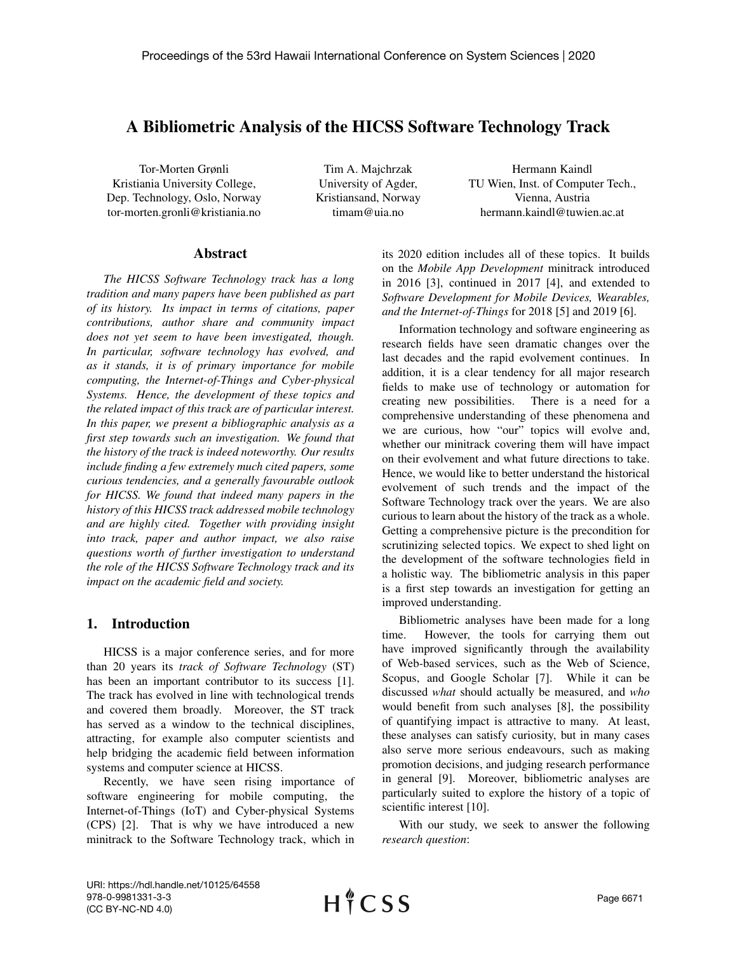# A Bibliometric Analysis of the HICSS Software Technology Track

Tor-Morten Grønli Kristiania University College, Dep. Technology, Oslo, Norway tor-morten.gronli@kristiania.no

Tim A. Majchrzak University of Agder, Kristiansand, Norway timam@uia.no

Hermann Kaindl TU Wien, Inst. of Computer Tech., Vienna, Austria hermann.kaindl@tuwien.ac.at

#### Abstract

*The HICSS Software Technology track has a long tradition and many papers have been published as part of its history. Its impact in terms of citations, paper contributions, author share and community impact does not yet seem to have been investigated, though. In particular, software technology has evolved, and as it stands, it is of primary importance for mobile computing, the Internet-of-Things and Cyber-physical Systems. Hence, the development of these topics and the related impact of this track are of particular interest. In this paper, we present a bibliographic analysis as a first step towards such an investigation. We found that the history of the track is indeed noteworthy. Our results include finding a few extremely much cited papers, some curious tendencies, and a generally favourable outlook for HICSS. We found that indeed many papers in the history of this HICSS track addressed mobile technology and are highly cited. Together with providing insight into track, paper and author impact, we also raise questions worth of further investigation to understand the role of the HICSS Software Technology track and its impact on the academic field and society.*

### 1. Introduction

HICSS is a major conference series, and for more than 20 years its *track of Software Technology* (ST) has been an important contributor to its success [1]. The track has evolved in line with technological trends and covered them broadly. Moreover, the ST track has served as a window to the technical disciplines, attracting, for example also computer scientists and help bridging the academic field between information systems and computer science at HICSS.

Recently, we have seen rising importance of software engineering for mobile computing, the Internet-of-Things (IoT) and Cyber-physical Systems (CPS) [2]. That is why we have introduced a new minitrack to the Software Technology track, which in its 2020 edition includes all of these topics. It builds on the *Mobile App Development* minitrack introduced in 2016 [3], continued in 2017 [4], and extended to *Software Development for Mobile Devices, Wearables, and the Internet-of-Things* for 2018 [5] and 2019 [6].

Information technology and software engineering as research fields have seen dramatic changes over the last decades and the rapid evolvement continues. In addition, it is a clear tendency for all major research fields to make use of technology or automation for creating new possibilities. There is a need for a comprehensive understanding of these phenomena and we are curious, how "our" topics will evolve and, whether our minitrack covering them will have impact on their evolvement and what future directions to take. Hence, we would like to better understand the historical evolvement of such trends and the impact of the Software Technology track over the years. We are also curious to learn about the history of the track as a whole. Getting a comprehensive picture is the precondition for scrutinizing selected topics. We expect to shed light on the development of the software technologies field in a holistic way. The bibliometric analysis in this paper is a first step towards an investigation for getting an improved understanding.

Bibliometric analyses have been made for a long time. However, the tools for carrying them out have improved significantly through the availability of Web-based services, such as the Web of Science, Scopus, and Google Scholar [7]. While it can be discussed *what* should actually be measured, and *who* would benefit from such analyses [8], the possibility of quantifying impact is attractive to many. At least, these analyses can satisfy curiosity, but in many cases also serve more serious endeavours, such as making promotion decisions, and judging research performance in general [9]. Moreover, bibliometric analyses are particularly suited to explore the history of a topic of scientific interest [10].

With our study, we seek to answer the following *research question*:

URI: https://hdl.handle.net/10125/64558 978-0-9981331-3-3 (CC BY-NC-ND 4.0)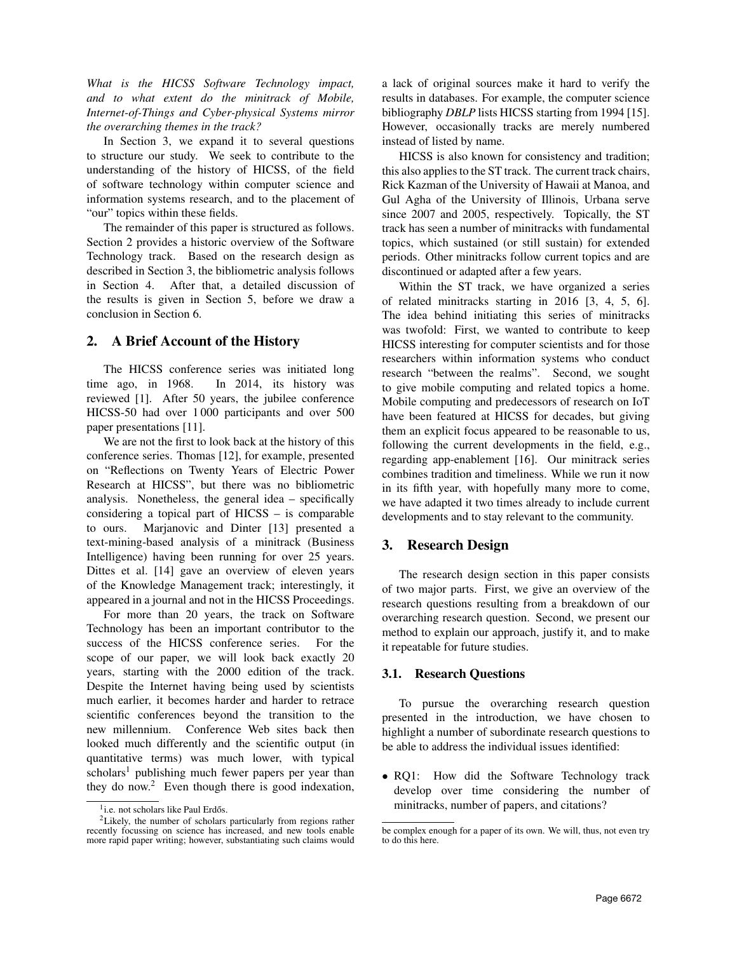*What is the HICSS Software Technology impact, and to what extent do the minitrack of Mobile, Internet-of-Things and Cyber-physical Systems mirror the overarching themes in the track?*

In Section 3, we expand it to several questions to structure our study. We seek to contribute to the understanding of the history of HICSS, of the field of software technology within computer science and information systems research, and to the placement of "our" topics within these fields.

The remainder of this paper is structured as follows. Section 2 provides a historic overview of the Software Technology track. Based on the research design as described in Section 3, the bibliometric analysis follows in Section 4. After that, a detailed discussion of the results is given in Section 5, before we draw a conclusion in Section 6.

## 2. A Brief Account of the History

The HICSS conference series was initiated long time ago, in 1968. In 2014, its history was reviewed [1]. After 50 years, the jubilee conference HICSS-50 had over 1 000 participants and over 500 paper presentations [11].

We are not the first to look back at the history of this conference series. Thomas [12], for example, presented on "Reflections on Twenty Years of Electric Power Research at HICSS", but there was no bibliometric analysis. Nonetheless, the general idea – specifically considering a topical part of HICSS – is comparable to ours. Marjanovic and Dinter [13] presented a text-mining-based analysis of a minitrack (Business Intelligence) having been running for over 25 years. Dittes et al. [14] gave an overview of eleven years of the Knowledge Management track; interestingly, it appeared in a journal and not in the HICSS Proceedings.

For more than 20 years, the track on Software Technology has been an important contributor to the success of the HICSS conference series. For the scope of our paper, we will look back exactly 20 years, starting with the 2000 edition of the track. Despite the Internet having being used by scientists much earlier, it becomes harder and harder to retrace scientific conferences beyond the transition to the new millennium. Conference Web sites back then looked much differently and the scientific output (in quantitative terms) was much lower, with typical  $scholars<sup>1</sup>$  publishing much fewer papers per year than they do now.<sup>2</sup> Even though there is good indexation,

a lack of original sources make it hard to verify the results in databases. For example, the computer science bibliography *DBLP* lists HICSS starting from 1994 [15]. However, occasionally tracks are merely numbered instead of listed by name.

HICSS is also known for consistency and tradition; this also applies to the ST track. The current track chairs, Rick Kazman of the University of Hawaii at Manoa, and Gul Agha of the University of Illinois, Urbana serve since 2007 and 2005, respectively. Topically, the ST track has seen a number of minitracks with fundamental topics, which sustained (or still sustain) for extended periods. Other minitracks follow current topics and are discontinued or adapted after a few years.

Within the ST track, we have organized a series of related minitracks starting in 2016 [3, 4, 5, 6]. The idea behind initiating this series of minitracks was twofold: First, we wanted to contribute to keep HICSS interesting for computer scientists and for those researchers within information systems who conduct research "between the realms". Second, we sought to give mobile computing and related topics a home. Mobile computing and predecessors of research on IoT have been featured at HICSS for decades, but giving them an explicit focus appeared to be reasonable to us, following the current developments in the field, e.g., regarding app-enablement [16]. Our minitrack series combines tradition and timeliness. While we run it now in its fifth year, with hopefully many more to come, we have adapted it two times already to include current developments and to stay relevant to the community.

## 3. Research Design

The research design section in this paper consists of two major parts. First, we give an overview of the research questions resulting from a breakdown of our overarching research question. Second, we present our method to explain our approach, justify it, and to make it repeatable for future studies.

### 3.1. Research Questions

To pursue the overarching research question presented in the introduction, we have chosen to highlight a number of subordinate research questions to be able to address the individual issues identified:

• RQ1: How did the Software Technology track develop over time considering the number of minitracks, number of papers, and citations?

<sup>&</sup>lt;sup>1</sup>i.e. not scholars like Paul Erdős.

<sup>&</sup>lt;sup>2</sup>Likely, the number of scholars particularly from regions rather recently focussing on science has increased, and new tools enable more rapid paper writing; however, substantiating such claims would

be complex enough for a paper of its own. We will, thus, not even try to do this here.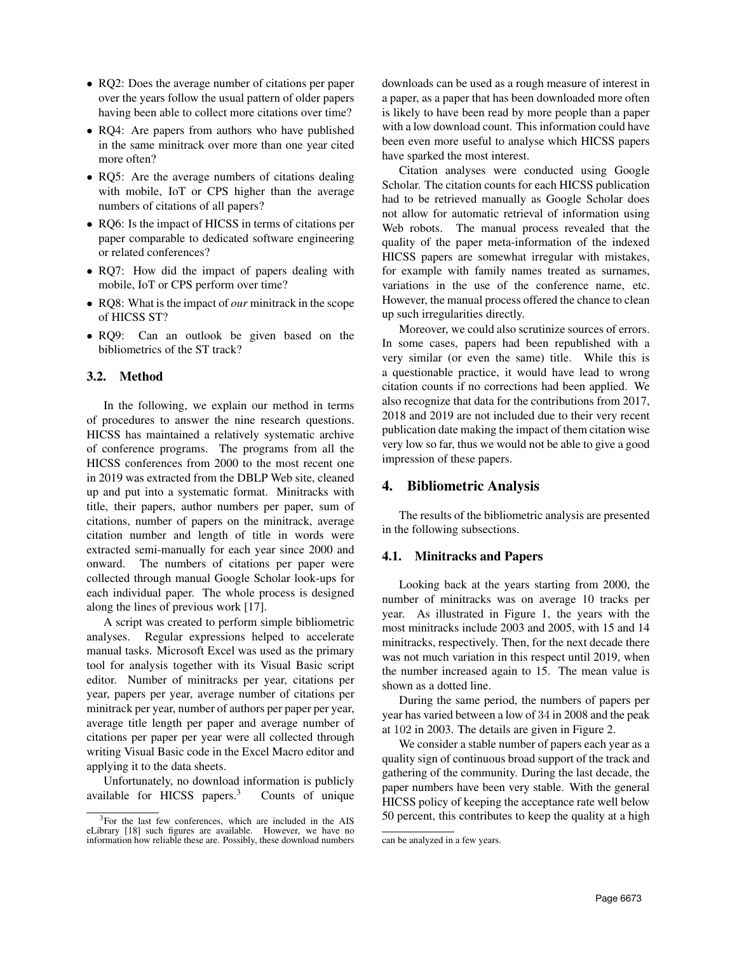- RQ2: Does the average number of citations per paper over the years follow the usual pattern of older papers having been able to collect more citations over time?
- RQ4: Are papers from authors who have published in the same minitrack over more than one year cited more often?
- RQ5: Are the average numbers of citations dealing with mobile, IoT or CPS higher than the average numbers of citations of all papers?
- RQ6: Is the impact of HICSS in terms of citations per paper comparable to dedicated software engineering or related conferences?
- RQ7: How did the impact of papers dealing with mobile, IoT or CPS perform over time?
- RQ8: What is the impact of *our* minitrack in the scope of HICSS ST?
- RQ9: Can an outlook be given based on the bibliometrics of the ST track?

## 3.2. Method

In the following, we explain our method in terms of procedures to answer the nine research questions. HICSS has maintained a relatively systematic archive of conference programs. The programs from all the HICSS conferences from 2000 to the most recent one in 2019 was extracted from the DBLP Web site, cleaned up and put into a systematic format. Minitracks with title, their papers, author numbers per paper, sum of citations, number of papers on the minitrack, average citation number and length of title in words were extracted semi-manually for each year since 2000 and onward. The numbers of citations per paper were collected through manual Google Scholar look-ups for each individual paper. The whole process is designed along the lines of previous work [17].

A script was created to perform simple bibliometric analyses. Regular expressions helped to accelerate manual tasks. Microsoft Excel was used as the primary tool for analysis together with its Visual Basic script editor. Number of minitracks per year, citations per year, papers per year, average number of citations per minitrack per year, number of authors per paper per year, average title length per paper and average number of citations per paper per year were all collected through writing Visual Basic code in the Excel Macro editor and applying it to the data sheets.

Unfortunately, no download information is publicly available for HICSS papers.<sup>3</sup> Counts of unique downloads can be used as a rough measure of interest in a paper, as a paper that has been downloaded more often is likely to have been read by more people than a paper with a low download count. This information could have been even more useful to analyse which HICSS papers have sparked the most interest.

Citation analyses were conducted using Google Scholar. The citation counts for each HICSS publication had to be retrieved manually as Google Scholar does not allow for automatic retrieval of information using Web robots. The manual process revealed that the quality of the paper meta-information of the indexed HICSS papers are somewhat irregular with mistakes, for example with family names treated as surnames, variations in the use of the conference name, etc. However, the manual process offered the chance to clean up such irregularities directly.

Moreover, we could also scrutinize sources of errors. In some cases, papers had been republished with a very similar (or even the same) title. While this is a questionable practice, it would have lead to wrong citation counts if no corrections had been applied. We also recognize that data for the contributions from 2017, 2018 and 2019 are not included due to their very recent publication date making the impact of them citation wise very low so far, thus we would not be able to give a good impression of these papers.

## 4. Bibliometric Analysis

The results of the bibliometric analysis are presented in the following subsections.

## 4.1. Minitracks and Papers

Looking back at the years starting from 2000, the number of minitracks was on average 10 tracks per year. As illustrated in Figure 1, the years with the most minitracks include 2003 and 2005, with 15 and 14 minitracks, respectively. Then, for the next decade there was not much variation in this respect until 2019, when the number increased again to 15. The mean value is shown as a dotted line.

During the same period, the numbers of papers per year has varied between a low of 34 in 2008 and the peak at 102 in 2003. The details are given in Figure 2.

We consider a stable number of papers each year as a quality sign of continuous broad support of the track and gathering of the community. During the last decade, the paper numbers have been very stable. With the general HICSS policy of keeping the acceptance rate well below 50 percent, this contributes to keep the quality at a high

<sup>&</sup>lt;sup>3</sup>For the last few conferences, which are included in the AIS eLibrary [18] such figures are available. However, we have no information how reliable these are. Possibly, these download numbers

can be analyzed in a few years.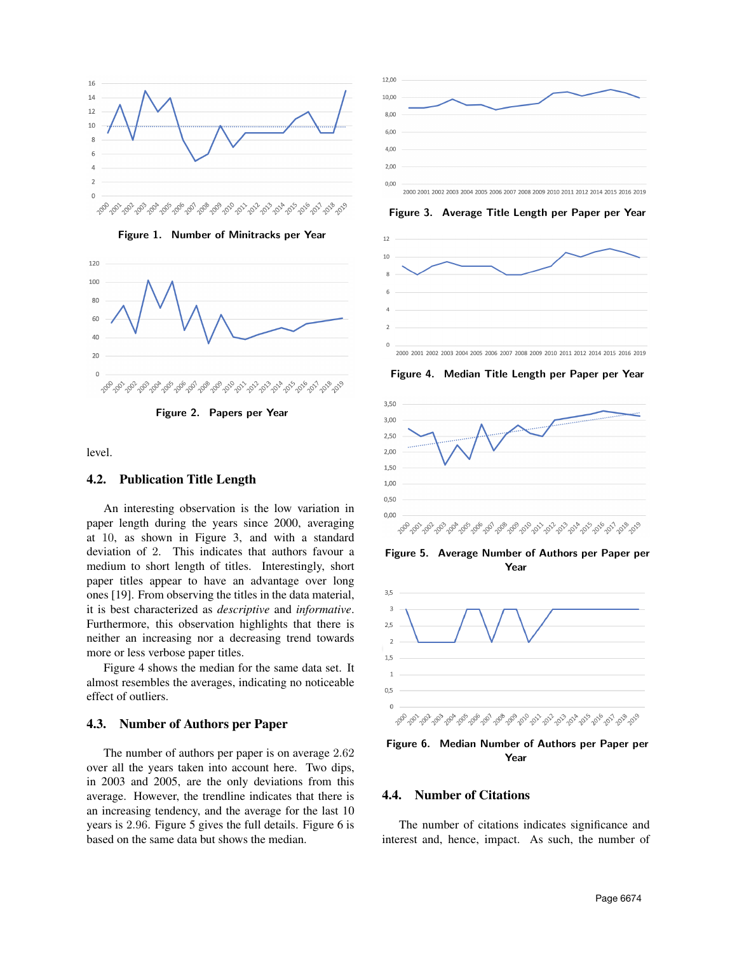

Figure 1. Number of Minitracks per Year



Figure 2. Papers per Year

level.

#### 4.2. Publication Title Length

An interesting observation is the low variation in paper length during the years since 2000, averaging at 10, as shown in Figure 3, and with a standard deviation of 2. This indicates that authors favour a medium to short length of titles. Interestingly, short paper titles appear to have an advantage over long ones [19]. From observing the titles in the data material, it is best characterized as *descriptive* and *informative*. Furthermore, this observation highlights that there is neither an increasing nor a decreasing trend towards more or less verbose paper titles.

Figure 4 shows the median for the same data set. It almost resembles the averages, indicating no noticeable effect of outliers.

#### 4.3. Number of Authors per Paper

The number of authors per paper is on average 2.62 over all the years taken into account here. Two dips, in 2003 and 2005, are the only deviations from this average. However, the trendline indicates that there is an increasing tendency, and the average for the last 10 years is 2.96. Figure 5 gives the full details. Figure 6 is based on the same data but shows the median.



Figure 3. Average Title Length per Paper per Year



Figure 4. Median Title Length per Paper per Year



Figure 5. Average Number of Authors per Paper per Year



Figure 6. Median Number of Authors per Paper per Year

#### 4.4. Number of Citations

The number of citations indicates significance and interest and, hence, impact. As such, the number of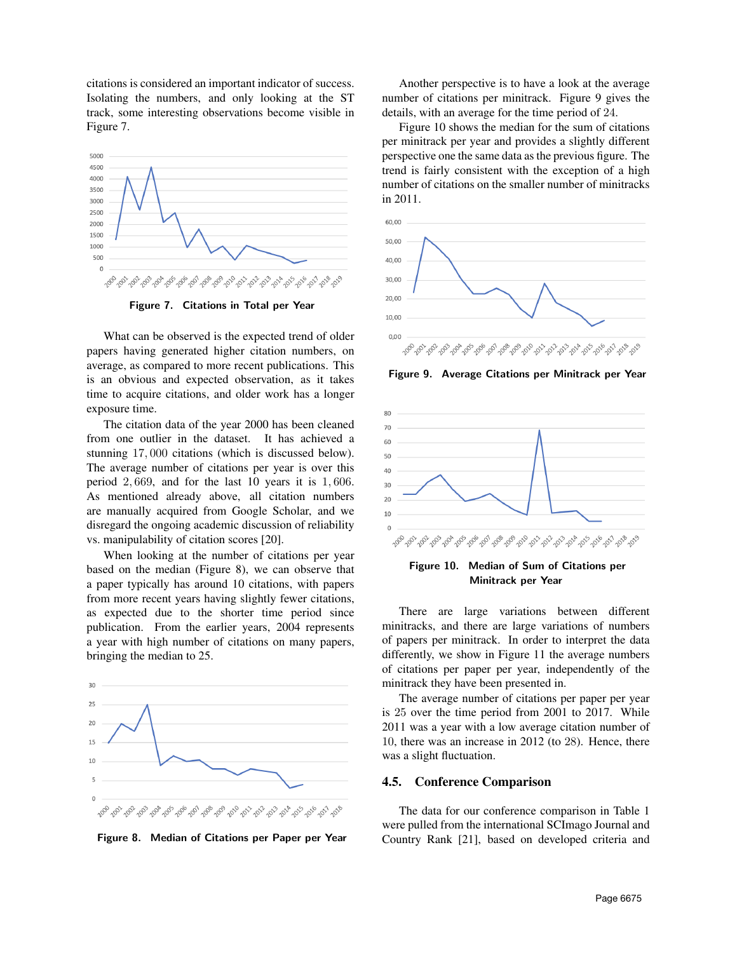citations is considered an important indicator of success. Isolating the numbers, and only looking at the ST track, some interesting observations become visible in Figure 7.



Figure 7. Citations in Total per Year

What can be observed is the expected trend of older papers having generated higher citation numbers, on average, as compared to more recent publications. This is an obvious and expected observation, as it takes time to acquire citations, and older work has a longer exposure time.

The citation data of the year 2000 has been cleaned from one outlier in the dataset. It has achieved a stunning 17, 000 citations (which is discussed below). The average number of citations per year is over this period 2, 669, and for the last 10 years it is 1, 606. As mentioned already above, all citation numbers are manually acquired from Google Scholar, and we disregard the ongoing academic discussion of reliability vs. manipulability of citation scores [20].

When looking at the number of citations per year based on the median (Figure 8), we can observe that a paper typically has around 10 citations, with papers from more recent years having slightly fewer citations, as expected due to the shorter time period since publication. From the earlier years, 2004 represents a year with high number of citations on many papers, bringing the median to 25.



Figure 8. Median of Citations per Paper per Year

Another perspective is to have a look at the average number of citations per minitrack. Figure 9 gives the details, with an average for the time period of 24.

Figure 10 shows the median for the sum of citations per minitrack per year and provides a slightly different perspective one the same data as the previous figure. The trend is fairly consistent with the exception of a high number of citations on the smaller number of minitracks in 2011.



Figure 9. Average Citations per Minitrack per Year





There are large variations between different minitracks, and there are large variations of numbers of papers per minitrack. In order to interpret the data differently, we show in Figure 11 the average numbers of citations per paper per year, independently of the minitrack they have been presented in.

The average number of citations per paper per year is 25 over the time period from 2001 to 2017. While 2011 was a year with a low average citation number of 10, there was an increase in 2012 (to 28). Hence, there was a slight fluctuation.

#### 4.5. Conference Comparison

The data for our conference comparison in Table 1 were pulled from the international SCImago Journal and Country Rank [21], based on developed criteria and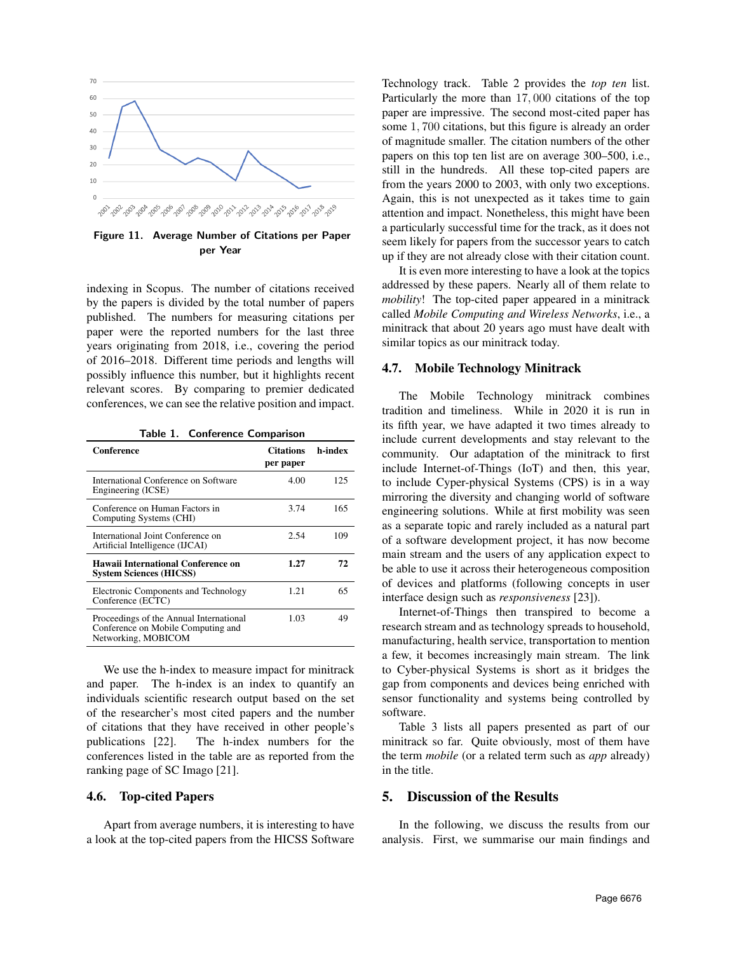

Figure 11. Average Number of Citations per Paper per Year

indexing in Scopus. The number of citations received by the papers is divided by the total number of papers published. The numbers for measuring citations per paper were the reported numbers for the last three years originating from 2018, i.e., covering the period of 2016–2018. Different time periods and lengths will possibly influence this number, but it highlights recent relevant scores. By comparing to premier dedicated conferences, we can see the relative position and impact.

Table 1. Conference Comparison

| Conference                                                                                           | <b>Citations</b><br>per paper | h-index |
|------------------------------------------------------------------------------------------------------|-------------------------------|---------|
| International Conference on Software<br>Engineering (ICSE)                                           | 4.00                          | 125     |
| Conference on Human Factors in<br>Computing Systems (CHI)                                            | 3.74                          | 165     |
| International Joint Conference on<br>Artificial Intelligence (IJCAI)                                 | 2.54                          | 109     |
| Hawaii International Conference on<br><b>System Sciences (HICSS)</b>                                 | 1.27                          | 72      |
| Electronic Components and Technology<br>Conference (ECTC)                                            | 1.21                          | 65      |
| Proceedings of the Annual International<br>Conference on Mobile Computing and<br>Networking, MOBICOM | 1.03                          | 49      |

We use the h-index to measure impact for minitrack and paper. The h-index is an index to quantify an individuals scientific research output based on the set of the researcher's most cited papers and the number of citations that they have received in other people's publications [22]. The h-index numbers for the conferences listed in the table are as reported from the ranking page of SC Imago [21].

#### 4.6. Top-cited Papers

Apart from average numbers, it is interesting to have a look at the top-cited papers from the HICSS Software Technology track. Table 2 provides the *top ten* list. Particularly the more than 17, 000 citations of the top paper are impressive. The second most-cited paper has some 1, 700 citations, but this figure is already an order of magnitude smaller. The citation numbers of the other papers on this top ten list are on average 300–500, i.e., still in the hundreds. All these top-cited papers are from the years 2000 to 2003, with only two exceptions. Again, this is not unexpected as it takes time to gain attention and impact. Nonetheless, this might have been a particularly successful time for the track, as it does not seem likely for papers from the successor years to catch up if they are not already close with their citation count.

It is even more interesting to have a look at the topics addressed by these papers. Nearly all of them relate to *mobility*! The top-cited paper appeared in a minitrack called *Mobile Computing and Wireless Networks*, i.e., a minitrack that about 20 years ago must have dealt with similar topics as our minitrack today.

#### 4.7. Mobile Technology Minitrack

The Mobile Technology minitrack combines tradition and timeliness. While in 2020 it is run in its fifth year, we have adapted it two times already to include current developments and stay relevant to the community. Our adaptation of the minitrack to first include Internet-of-Things (IoT) and then, this year, to include Cyper-physical Systems (CPS) is in a way mirroring the diversity and changing world of software engineering solutions. While at first mobility was seen as a separate topic and rarely included as a natural part of a software development project, it has now become main stream and the users of any application expect to be able to use it across their heterogeneous composition of devices and platforms (following concepts in user interface design such as *responsiveness* [23]).

Internet-of-Things then transpired to become a research stream and as technology spreads to household, manufacturing, health service, transportation to mention a few, it becomes increasingly main stream. The link to Cyber-physical Systems is short as it bridges the gap from components and devices being enriched with sensor functionality and systems being controlled by software.

Table 3 lists all papers presented as part of our minitrack so far. Quite obviously, most of them have the term *mobile* (or a related term such as *app* already) in the title.

### 5. Discussion of the Results

In the following, we discuss the results from our analysis. First, we summarise our main findings and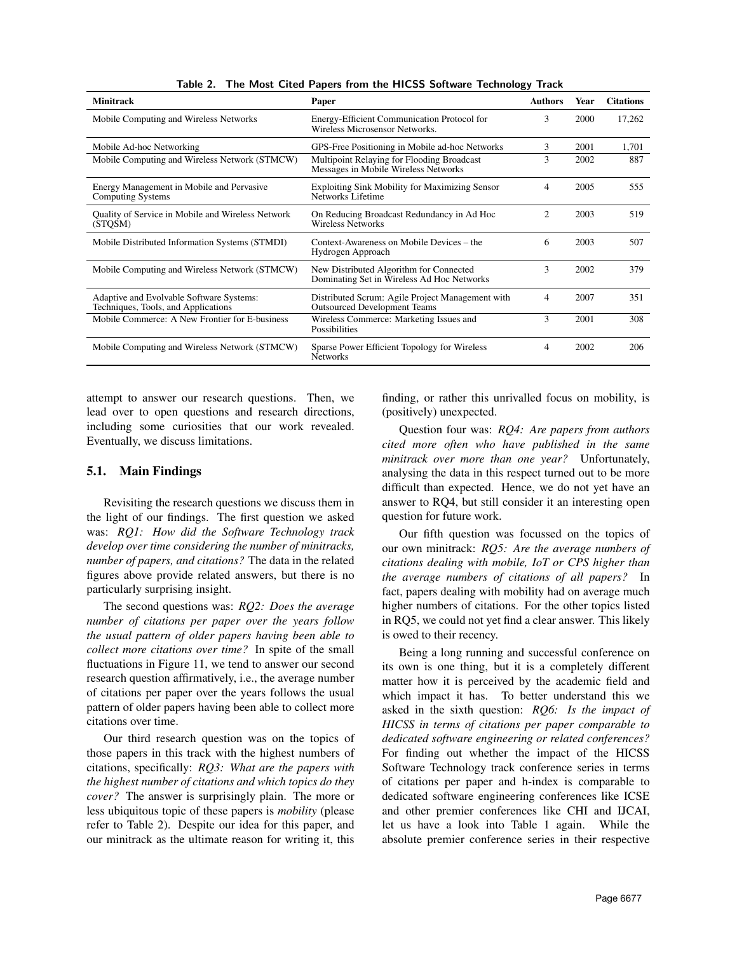| <b>Minitrack</b>                                                                | Paper                                                                                   | <b>Authors</b> | Year | <b>Citations</b> |
|---------------------------------------------------------------------------------|-----------------------------------------------------------------------------------------|----------------|------|------------------|
| Mobile Computing and Wireless Networks                                          | Energy-Efficient Communication Protocol for<br>Wireless Microsensor Networks.           | 3              |      | 17,262           |
| Mobile Ad-hoc Networking                                                        | GPS-Free Positioning in Mobile ad-hoc Networks                                          | 3              | 2001 | 1,701            |
| Mobile Computing and Wireless Network (STMCW)                                   | Multipoint Relaying for Flooding Broadcast<br>Messages in Mobile Wireless Networks      | 3              | 2002 | 887              |
| Energy Management in Mobile and Pervasive<br>Computing Systems                  | <b>Exploiting Sink Mobility for Maximizing Sensor</b><br>Networks Lifetime              | 4              | 2005 | 555              |
| Quality of Service in Mobile and Wireless Network<br>(STQSM)                    | On Reducing Broadcast Redundancy in Ad Hoc<br><b>Wireless Networks</b>                  | 2              | 2003 | 519              |
| Mobile Distributed Information Systems (STMDI)                                  | Context-Awareness on Mobile Devices – the<br>Hydrogen Approach                          | 6              | 2003 | 507              |
| Mobile Computing and Wireless Network (STMCW)                                   | New Distributed Algorithm for Connected<br>Dominating Set in Wireless Ad Hoc Networks   | 3              | 2002 | 379              |
| Adaptive and Evolvable Software Systems:<br>Techniques, Tools, and Applications | Distributed Scrum: Agile Project Management with<br><b>Outsourced Development Teams</b> | 4              | 2007 | 351              |
| Mobile Commerce: A New Frontier for E-business                                  | Wireless Commerce: Marketing Issues and<br>Possibilities                                | 3              | 2001 | 308              |
| Mobile Computing and Wireless Network (STMCW)                                   | Sparse Power Efficient Topology for Wireless<br><b>Networks</b>                         | 4              | 2002 | 206              |

Table 2. The Most Cited Papers from the HICSS Software Technology Track

attempt to answer our research questions. Then, we lead over to open questions and research directions, including some curiosities that our work revealed. Eventually, we discuss limitations.

#### 5.1. Main Findings

Revisiting the research questions we discuss them in the light of our findings. The first question we asked was: *RQ1: How did the Software Technology track develop over time considering the number of minitracks, number of papers, and citations?* The data in the related figures above provide related answers, but there is no particularly surprising insight.

The second questions was: *RQ2: Does the average number of citations per paper over the years follow the usual pattern of older papers having been able to collect more citations over time?* In spite of the small fluctuations in Figure 11, we tend to answer our second research question affirmatively, i.e., the average number of citations per paper over the years follows the usual pattern of older papers having been able to collect more citations over time.

Our third research question was on the topics of those papers in this track with the highest numbers of citations, specifically: *RQ3: What are the papers with the highest number of citations and which topics do they cover?* The answer is surprisingly plain. The more or less ubiquitous topic of these papers is *mobility* (please refer to Table 2). Despite our idea for this paper, and our minitrack as the ultimate reason for writing it, this

finding, or rather this unrivalled focus on mobility, is (positively) unexpected.

Question four was: *RQ4: Are papers from authors cited more often who have published in the same minitrack over more than one year?* Unfortunately, analysing the data in this respect turned out to be more difficult than expected. Hence, we do not yet have an answer to RQ4, but still consider it an interesting open question for future work.

Our fifth question was focussed on the topics of our own minitrack: *RQ5: Are the average numbers of citations dealing with mobile, IoT or CPS higher than the average numbers of citations of all papers?* In fact, papers dealing with mobility had on average much higher numbers of citations. For the other topics listed in RQ5, we could not yet find a clear answer. This likely is owed to their recency.

Being a long running and successful conference on its own is one thing, but it is a completely different matter how it is perceived by the academic field and which impact it has. To better understand this we asked in the sixth question: *RQ6: Is the impact of HICSS in terms of citations per paper comparable to dedicated software engineering or related conferences?* For finding out whether the impact of the HICSS Software Technology track conference series in terms of citations per paper and h-index is comparable to dedicated software engineering conferences like ICSE and other premier conferences like CHI and IJCAI, let us have a look into Table 1 again. While the absolute premier conference series in their respective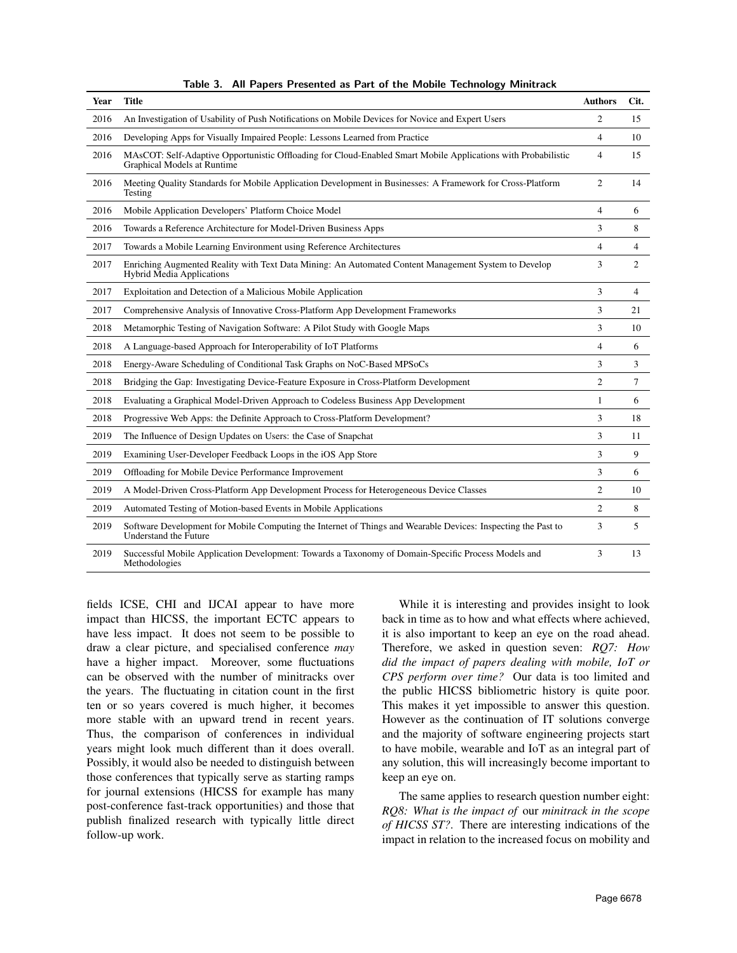| Year | <b>Title</b>                                                                                                                                 | <b>Authors</b> | Cit.           |
|------|----------------------------------------------------------------------------------------------------------------------------------------------|----------------|----------------|
| 2016 | An Investigation of Usability of Push Notifications on Mobile Devices for Novice and Expert Users                                            | 2              | 15             |
| 2016 | Developing Apps for Visually Impaired People: Lessons Learned from Practice                                                                  | $\overline{4}$ | 10             |
| 2016 | MAsCOT: Self-Adaptive Opportunistic Offloading for Cloud-Enabled Smart Mobile Applications with Probabilistic<br>Graphical Models at Runtime | 4              | 15             |
| 2016 | Meeting Quality Standards for Mobile Application Development in Businesses: A Framework for Cross-Platform<br>Testing                        | $\overline{c}$ | 14             |
| 2016 | Mobile Application Developers' Platform Choice Model                                                                                         | 4              | 6              |
| 2016 | Towards a Reference Architecture for Model-Driven Business Apps                                                                              | 3              | 8              |
| 2017 | Towards a Mobile Learning Environment using Reference Architectures                                                                          | 4              | 4              |
| 2017 | Enriching Augmented Reality with Text Data Mining: An Automated Content Management System to Develop<br><b>Hybrid Media Applications</b>     | 3              | 2              |
| 2017 | Exploitation and Detection of a Malicious Mobile Application                                                                                 | 3              | $\overline{4}$ |
| 2017 | Comprehensive Analysis of Innovative Cross-Platform App Development Frameworks                                                               | 3              | 21             |
| 2018 | Metamorphic Testing of Navigation Software: A Pilot Study with Google Maps                                                                   | 3              | 10             |
| 2018 | A Language-based Approach for Interoperability of IoT Platforms                                                                              | $\overline{4}$ | 6              |
| 2018 | Energy-Aware Scheduling of Conditional Task Graphs on NoC-Based MPSoCs                                                                       | 3              | 3              |
| 2018 | Bridging the Gap: Investigating Device-Feature Exposure in Cross-Platform Development                                                        | $\overline{2}$ | 7              |
| 2018 | Evaluating a Graphical Model-Driven Approach to Codeless Business App Development                                                            | $\mathbf{1}$   | 6              |
| 2018 | Progressive Web Apps: the Definite Approach to Cross-Platform Development?                                                                   | 3              | 18             |
| 2019 | The Influence of Design Updates on Users: the Case of Snapchat                                                                               | 3              | 11             |
| 2019 | Examining User-Developer Feedback Loops in the iOS App Store                                                                                 | 3              | 9              |
| 2019 | Offloading for Mobile Device Performance Improvement                                                                                         | 3              | 6              |
| 2019 | A Model-Driven Cross-Platform App Development Process for Heterogeneous Device Classes                                                       | $\overline{c}$ | 10             |
| 2019 | Automated Testing of Motion-based Events in Mobile Applications                                                                              | 2              | 8              |
| 2019 | Software Development for Mobile Computing the Internet of Things and Wearable Devices: Inspecting the Past to<br>Understand the Future       | 3              | 5              |
| 2019 | Successful Mobile Application Development: Towards a Taxonomy of Domain-Specific Process Models and<br>Methodologies                         | 3              | 13             |

Table 3. All Papers Presented as Part of the Mobile Technology Minitrack

fields ICSE, CHI and IJCAI appear to have more impact than HICSS, the important ECTC appears to have less impact. It does not seem to be possible to draw a clear picture, and specialised conference *may* have a higher impact. Moreover, some fluctuations can be observed with the number of minitracks over the years. The fluctuating in citation count in the first ten or so years covered is much higher, it becomes more stable with an upward trend in recent years. Thus, the comparison of conferences in individual years might look much different than it does overall. Possibly, it would also be needed to distinguish between those conferences that typically serve as starting ramps for journal extensions (HICSS for example has many post-conference fast-track opportunities) and those that publish finalized research with typically little direct follow-up work.

While it is interesting and provides insight to look back in time as to how and what effects where achieved, it is also important to keep an eye on the road ahead. Therefore, we asked in question seven: *RQ7: How did the impact of papers dealing with mobile, IoT or CPS perform over time?* Our data is too limited and the public HICSS bibliometric history is quite poor. This makes it yet impossible to answer this question. However as the continuation of IT solutions converge and the majority of software engineering projects start to have mobile, wearable and IoT as an integral part of any solution, this will increasingly become important to keep an eye on.

The same applies to research question number eight: *RQ8: What is the impact of* our *minitrack in the scope of HICSS ST?*. There are interesting indications of the impact in relation to the increased focus on mobility and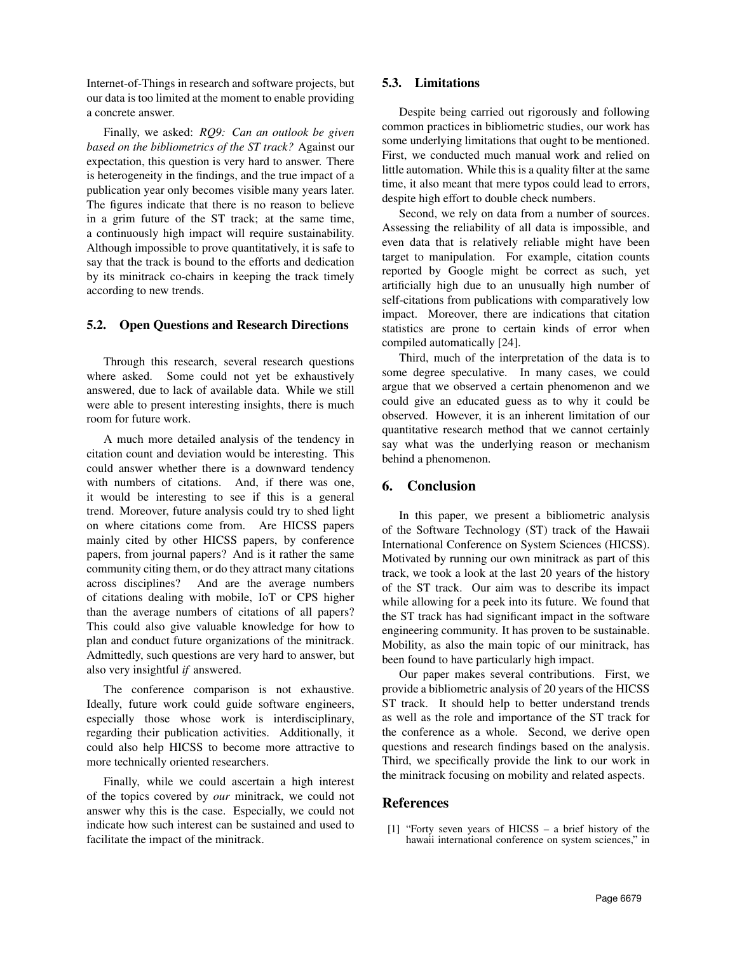Internet-of-Things in research and software projects, but our data is too limited at the moment to enable providing a concrete answer.

Finally, we asked: *RQ9: Can an outlook be given based on the bibliometrics of the ST track?* Against our expectation, this question is very hard to answer. There is heterogeneity in the findings, and the true impact of a publication year only becomes visible many years later. The figures indicate that there is no reason to believe in a grim future of the ST track; at the same time, a continuously high impact will require sustainability. Although impossible to prove quantitatively, it is safe to say that the track is bound to the efforts and dedication by its minitrack co-chairs in keeping the track timely according to new trends.

## 5.2. Open Questions and Research Directions

Through this research, several research questions where asked. Some could not yet be exhaustively answered, due to lack of available data. While we still were able to present interesting insights, there is much room for future work.

A much more detailed analysis of the tendency in citation count and deviation would be interesting. This could answer whether there is a downward tendency with numbers of citations. And, if there was one, it would be interesting to see if this is a general trend. Moreover, future analysis could try to shed light on where citations come from. Are HICSS papers mainly cited by other HICSS papers, by conference papers, from journal papers? And is it rather the same community citing them, or do they attract many citations across disciplines? And are the average numbers of citations dealing with mobile, IoT or CPS higher than the average numbers of citations of all papers? This could also give valuable knowledge for how to plan and conduct future organizations of the minitrack. Admittedly, such questions are very hard to answer, but also very insightful *if* answered.

The conference comparison is not exhaustive. Ideally, future work could guide software engineers, especially those whose work is interdisciplinary, regarding their publication activities. Additionally, it could also help HICSS to become more attractive to more technically oriented researchers.

Finally, while we could ascertain a high interest of the topics covered by *our* minitrack, we could not answer why this is the case. Especially, we could not indicate how such interest can be sustained and used to facilitate the impact of the minitrack.

### 5.3. Limitations

Despite being carried out rigorously and following common practices in bibliometric studies, our work has some underlying limitations that ought to be mentioned. First, we conducted much manual work and relied on little automation. While this is a quality filter at the same time, it also meant that mere typos could lead to errors, despite high effort to double check numbers.

Second, we rely on data from a number of sources. Assessing the reliability of all data is impossible, and even data that is relatively reliable might have been target to manipulation. For example, citation counts reported by Google might be correct as such, yet artificially high due to an unusually high number of self-citations from publications with comparatively low impact. Moreover, there are indications that citation statistics are prone to certain kinds of error when compiled automatically [24].

Third, much of the interpretation of the data is to some degree speculative. In many cases, we could argue that we observed a certain phenomenon and we could give an educated guess as to why it could be observed. However, it is an inherent limitation of our quantitative research method that we cannot certainly say what was the underlying reason or mechanism behind a phenomenon.

## 6. Conclusion

In this paper, we present a bibliometric analysis of the Software Technology (ST) track of the Hawaii International Conference on System Sciences (HICSS). Motivated by running our own minitrack as part of this track, we took a look at the last 20 years of the history of the ST track. Our aim was to describe its impact while allowing for a peek into its future. We found that the ST track has had significant impact in the software engineering community. It has proven to be sustainable. Mobility, as also the main topic of our minitrack, has been found to have particularly high impact.

Our paper makes several contributions. First, we provide a bibliometric analysis of 20 years of the HICSS ST track. It should help to better understand trends as well as the role and importance of the ST track for the conference as a whole. Second, we derive open questions and research findings based on the analysis. Third, we specifically provide the link to our work in the minitrack focusing on mobility and related aspects.

# References

[1] "Forty seven years of HICSS – a brief history of the hawaii international conference on system sciences," in